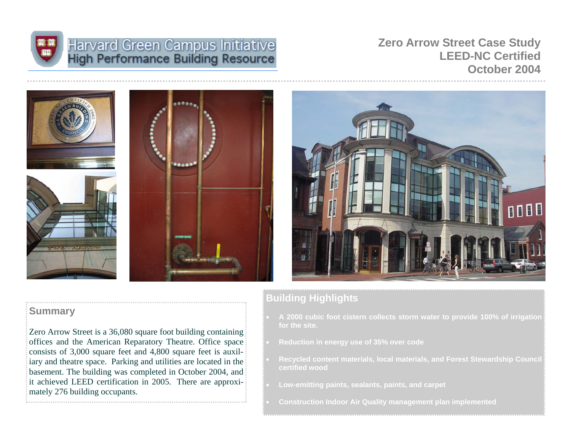

# Harvard Green Campus Initiative<br>High Performance Building Resource

**Zero Arrow Street Case Study LEED-NC Certified October 2004** 









# **Building Highlights**

- **A 2000 cubic foot cistern collects storm water to provide 100% of irrigation for the site.**
- **Reduction in energy use of 35% over code**
- **Recycled content materials, local materials, and Forest Stewardship Council certified wood**
- **Low-emitting paints, sealants, paints, and carpet**
- **Construction Indoor Air Quality management plan implemented**

# **Summary**

Zero Arrow Street is a 36,080 square foot building containing offices and the American Reparatory Theatre. Office space consists of 3,000 square feet and 4,800 square feet is auxiliary and theatre space. Parking and utilities are located in the basement. The building was completed in October 2004, and it achieved LEED certification in 2005. There are approximately 276 building occupants.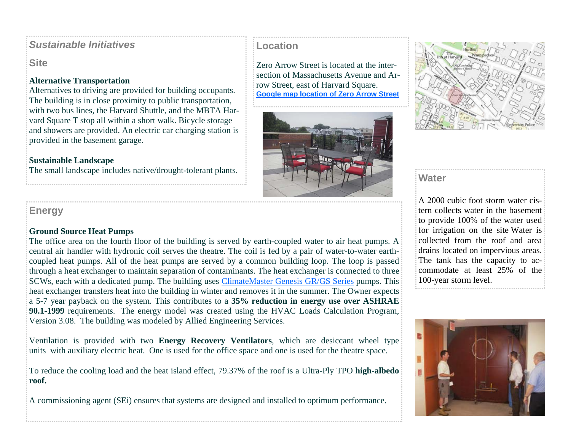# *Sustainable Initiatives*

**Site** 

## **Alternative Transportation**

Alternatives to driving are provided for building occupants. The building is in close proximity to public transportation, with two bus lines, the Harvard Shuttle, and the MBTA Harvard Square T stop all within a short walk. Bicycle storage and showers are provided. An electric car charging station is provided in the basement garage.

## **Sustainable Landscape**

# **Energy**

#### **Ground Source Heat Pumps**

The office area on the fourth floor of the building is served by earth-coupled water to air heat pumps. A central air handler with hydronic coil serves the theatre. The coil is fed by a pair of water-to-water earthcoupled heat pumps. All of the heat pumps are served by a common building loop. The loop is passed through a heat exchanger to maintain separation of contaminants. The heat exchanger is connected to three SCWs, each with a dedicated pump. The building uses ClimateMaster Genesis GR/GS Series pumps. This heat exchanger transfers heat into the building in winter and removes it in the summer. The Owner expects a 5-7 year payback on the system. This contributes to a **35% reduction in energy use over ASHRAE 90.1-1999** requirements. The energy model was created using the HVAC Loads Calculation Program, Version 3.08. The building was modeled by Allied Engineering Services.

Ventilation is provided with two **Energy Recovery Ventilators**, which are desiccant wheel type units with auxiliary electric heat. One is used for the office space and one is used for the theatre space.

To reduce the cooling load and the heat island effect, 79.37% of the roof is a Ultra-Ply TPO **high-albedo roof.**

A commissioning agent (SEi) ensures that systems are designed and installed to optimum performance.

# **Location**

Zero Arrow Street is located at the intersection of Massachusetts Avenue and Arrow Street, east of Harvard Square. **Google map location of Zero Arrow Street**





A 2000 cubic foot storm water cistern collects water in the basement to provide 100% of the water used for irrigation on the site Water is collected from the roof and area drains located on impervious areas. The tank has the capacity to accommodate at least 25% of the 100-year storm level.